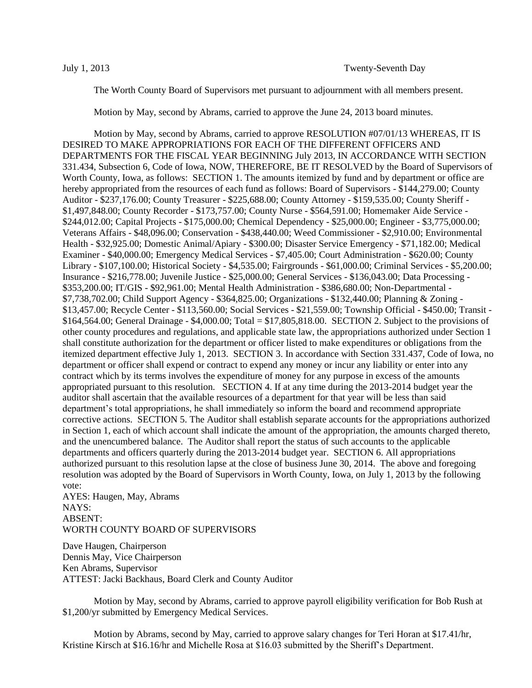The Worth County Board of Supervisors met pursuant to adjournment with all members present.

Motion by May, second by Abrams, carried to approve the June 24, 2013 board minutes.

Motion by May, second by Abrams, carried to approve RESOLUTION #07/01/13 WHEREAS, IT IS DESIRED TO MAKE APPROPRIATIONS FOR EACH OF THE DIFFERENT OFFICERS AND DEPARTMENTS FOR THE FISCAL YEAR BEGINNING July 2013, IN ACCORDANCE WITH SECTION 331.434, Subsection 6, Code of Iowa, NOW, THEREFORE, BE IT RESOLVED by the Board of Supervisors of Worth County, Iowa, as follows: SECTION 1. The amounts itemized by fund and by department or office are hereby appropriated from the resources of each fund as follows: Board of Supervisors - \$144,279.00; County Auditor - \$237,176.00; County Treasurer - \$225,688.00; County Attorney - \$159,535.00; County Sheriff - \$1,497,848.00; County Recorder - \$173,757.00; County Nurse - \$564,591.00; Homemaker Aide Service - \$244,012.00; Capital Projects - \$175,000.00; Chemical Dependency - \$25,000.00; Engineer - \$3,775,000.00; Veterans Affairs - \$48,096.00; Conservation - \$438,440.00; Weed Commissioner - \$2,910.00; Environmental Health - \$32,925.00; Domestic Animal/Apiary - \$300.00; Disaster Service Emergency - \$71,182.00; Medical Examiner - \$40,000.00; Emergency Medical Services - \$7,405.00; Court Administration - \$620.00; County Library - \$107,100.00; Historical Society - \$4,535.00; Fairgrounds - \$61,000.00; Criminal Services - \$5,200.00; Insurance - \$216,778.00; Juvenile Justice - \$25,000.00; General Services - \$136,043.00; Data Processing - \$353,200.00; IT/GIS - \$92,961.00; Mental Health Administration - \$386,680.00; Non-Departmental - \$7,738,702.00; Child Support Agency - \$364,825.00; Organizations - \$132,440.00; Planning & Zoning - \$13,457.00; Recycle Center - \$113,560.00; Social Services - \$21,559.00; Township Official - \$450.00; Transit - \$164,564.00; General Drainage - \$4,000.00; Total = \$17,805,818.00. SECTION 2. Subject to the provisions of other county procedures and regulations, and applicable state law, the appropriations authorized under Section 1 shall constitute authorization for the department or officer listed to make expenditures or obligations from the itemized department effective July 1, 2013. SECTION 3. In accordance with Section 331.437, Code of Iowa, no department or officer shall expend or contract to expend any money or incur any liability or enter into any contract which by its terms involves the expenditure of money for any purpose in excess of the amounts appropriated pursuant to this resolution. SECTION 4. If at any time during the 2013-2014 budget year the auditor shall ascertain that the available resources of a department for that year will be less than said department's total appropriations, he shall immediately so inform the board and recommend appropriate corrective actions. SECTION 5. The Auditor shall establish separate accounts for the appropriations authorized in Section 1, each of which account shall indicate the amount of the appropriation, the amounts charged thereto, and the unencumbered balance. The Auditor shall report the status of such accounts to the applicable departments and officers quarterly during the 2013-2014 budget year. SECTION 6. All appropriations authorized pursuant to this resolution lapse at the close of business June 30, 2014. The above and foregoing resolution was adopted by the Board of Supervisors in Worth County, Iowa, on July 1, 2013 by the following vote:

AYES: Haugen, May, Abrams NAYS: ABSENT: WORTH COUNTY BOARD OF SUPERVISORS

Dave Haugen, Chairperson Dennis May, Vice Chairperson Ken Abrams, Supervisor ATTEST: Jacki Backhaus, Board Clerk and County Auditor

Motion by May, second by Abrams, carried to approve payroll eligibility verification for Bob Rush at \$1,200/yr submitted by Emergency Medical Services.

Motion by Abrams, second by May, carried to approve salary changes for Teri Horan at \$17.41/hr, Kristine Kirsch at \$16.16/hr and Michelle Rosa at \$16.03 submitted by the Sheriff's Department.